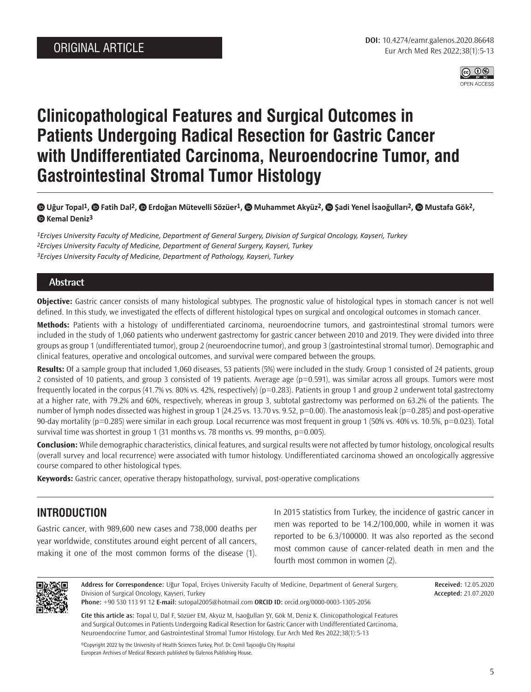

# **Clinicopathological Features and Surgical Outcomes in Patients Undergoing Radical Resection for Gastric Cancer with Undifferentiated Carcinoma, Neuroendocrine Tumor, and Gastrointestinal Stromal Tumor Histology**

### **Uğur Topal1, Fatih Dal2, Erdoğan Mütevelli Sözüer1, Muhammet Akyüz2, Şadi Yenel İsaoğulları2, Mustafa Gök2, Kemal Deniz3**

*1Erciyes University Faculty of Medicine, Department of General Surgery, Division of Surgical Oncology, Kayseri, Turkey 2Erciyes University Faculty of Medicine, Department of General Surgery, Kayseri, Turkey 3Erciyes University Faculty of Medicine, Department of Pathology, Kayseri, Turkey*

### **Abstract**

**Objective:** Gastric cancer consists of many histological subtypes. The prognostic value of histological types in stomach cancer is not well defined. In this study, we investigated the effects of different histological types on surgical and oncological outcomes in stomach cancer.

**Methods:** Patients with a histology of undifferentiated carcinoma, neuroendocrine tumors, and gastrointestinal stromal tumors were included in the study of 1,060 patients who underwent gastrectomy for gastric cancer between 2010 and 2019. They were divided into three groups as group 1 (undifferentiated tumor), group 2 (neuroendocrine tumor), and group 3 (gastrointestinal stromal tumor). Demographic and clinical features, operative and oncological outcomes, and survival were compared between the groups.

**Results:** Of a sample group that included 1,060 diseases, 53 patients (5%) were included in the study. Group 1 consisted of 24 patients, group 2 consisted of 10 patients, and group 3 consisted of 19 patients. Average age (p=0.591), was similar across all groups. Tumors were most frequently located in the corpus (41.7% vs. 80% vs. 42%, respectively) (p=0.283). Patients in group 1 and group 2 underwent total gastrectomy at a higher rate, with 79.2% and 60%, respectively, whereas in group 3, subtotal gastrectomy was performed on 63.2% of the patients. The number of lymph nodes dissected was highest in group 1 (24.25 vs. 13.70 vs. 9.52, p=0.00). The anastomosis leak (p=0.285) and post-operative 90-day mortality (p=0.285) were similar in each group. Local recurrence was most frequent in group 1 (50% vs. 40% vs. 10.5%, p=0.023). Total survival time was shortest in group 1 (31 months vs. 78 months vs. 99 months,  $p=0.005$ ).

**Conclusion:** While demographic characteristics, clinical features, and surgical results were not affected by tumor histology, oncological results (overall survey and local recurrence) were associated with tumor histology. Undifferentiated carcinoma showed an oncologically aggressive course compared to other histological types.

**Keywords:** Gastric cancer, operative therapy histopathology, survival, post-operative complications

# **INTRODUCTION**

Gastric cancer, with 989,600 new cases and 738,000 deaths per year worldwide, constitutes around eight percent of all cancers, making it one of the most common forms of the disease (1).

In 2015 statistics from Turkey, the incidence of gastric cancer in men was reported to be 14.2/100,000, while in women it was reported to be 6.3/100000. It was also reported as the second most common cause of cancer-related death in men and the fourth most common in women (2).



**Address for Correspondence:** Uğur Topal, Erciyes University Faculty of Medicine, Department of General Surgery, Division of Surgical Oncology, Kayseri, Turkey **Phone:** +90 530 113 91 12 **E-mail:** sutopal2005@hotmail.com **ORCID ID:** orcid.org/0000-0003-1305-2056

**Received:** 12.05.2020 **Accepted:** 21.07.2020

**Cite this article as:** Topal U, Dal F, Sözüer EM, Akyüz M, İsaoğulları ŞY, Gök M, Deniz K. Clinicopathological Features and Surgical Outcomes in Patients Undergoing Radical Resection for Gastric Cancer with Undifferentiated Carcinoma, Neuroendocrine Tumor, and Gastrointestinal Stromal Tumor Histology. Eur Arch Med Res 2022;38(1):5-13

©Copyright 2022 by the University of Health Sciences Turkey, Prof. Dr. Cemil Taşcıoğlu City Hospital European Archives of Medical Research published by Galenos Publishing House.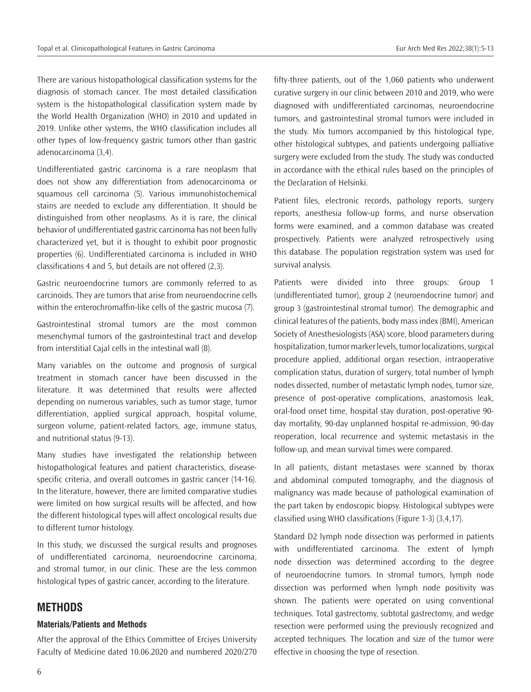There are various histopathological classification systems for the diagnosis of stomach cancer. The most detailed classification system is the histopathological classification system made by the World Health Organization (WHO) in 2010 and updated in 2019. Unlike other systems, the WHO classification includes all other types of low-frequency gastric tumors other than gastric adenocarcinoma (3,4).

Undifferentiated gastric carcinoma is a rare neoplasm that does not show any differentiation from adenocarcinoma or squamous cell carcinoma (5). Various immunohistochemical stains are needed to exclude any differentiation. It should be distinguished from other neoplasms. As it is rare, the clinical behavior of undifferentiated gastric carcinoma has not been fully characterized yet, but it is thought to exhibit poor prognostic properties (6). Undifferentiated carcinoma is included in WHO classifications 4 and 5, but details are not offered (2,3).

Gastric neuroendocrine tumors are commonly referred to as carcinoids. They are tumors that arise from neuroendocrine cells within the enterochromaffin-like cells of the gastric mucosa (7).

Gastrointestinal stromal tumors are the most common mesenchymal tumors of the gastrointestinal tract and develop from interstitial Cajal cells in the intestinal wall (8).

Many variables on the outcome and prognosis of surgical treatment in stomach cancer have been discussed in the literature. It was determined that results were affected depending on numerous variables, such as tumor stage, tumor differentiation, applied surgical approach, hospital volume, surgeon volume, patient-related factors, age, immune status, and nutritional status (9-13).

Many studies have investigated the relationship between histopathological features and patient characteristics, diseasespecific criteria, and overall outcomes in gastric cancer (14-16). In the literature, however, there are limited comparative studies were limited on how surgical results will be affected, and how the different histological types will affect oncological results due to different tumor histology.

In this study, we discussed the surgical results and prognoses of undifferentiated carcinoma, neuroendocrine carcinoma, and stromal tumor, in our clinic. These are the less common histological types of gastric cancer, according to the literature.

### **METHODS**

#### **Materials/Patients and Methods**

After the approval of the Ethics Committee of Erciyes University Faculty of Medicine dated 10.06.2020 and numbered 2020/270 fifty-three patients, out of the 1,060 patients who underwent curative surgery in our clinic between 2010 and 2019, who were diagnosed with undifferentiated carcinomas, neuroendocrine tumors, and gastrointestinal stromal tumors were included in the study. Mix tumors accompanied by this histological type, other histological subtypes, and patients undergoing palliative surgery were excluded from the study. The study was conducted in accordance with the ethical rules based on the principles of the Declaration of Helsinki.

Patient files, electronic records, pathology reports, surgery reports, anesthesia follow-up forms, and nurse observation forms were examined, and a common database was created prospectively. Patients were analyzed retrospectively using this database. The population registration system was used for survival analysis.

Patients were divided into three groups: Group 1 (undifferentiated tumor), group 2 (neuroendocrine tumor) and group 3 (gastrointestinal stromal tumor). The demographic and clinical features of the patients, body mass index (BMI), American Society of Anesthesiologists (ASA) score, blood parameters during hospitalization, tumor marker levels, tumor localizations, surgical procedure applied, additional organ resection, intraoperative complication status, duration of surgery, total number of lymph nodes dissected, number of metastatic lymph nodes, tumor size, presence of post-operative complications, anastomosis leak, oral-food onset time, hospital stay duration, post-operative 90 day mortality, 90-day unplanned hospital re-admission, 90-day reoperation, local recurrence and systemic metastasis in the follow-up, and mean survival times were compared.

In all patients, distant metastases were scanned by thorax and abdominal computed tomography, and the diagnosis of malignancy was made because of pathological examination of the part taken by endoscopic biopsy. Histological subtypes were classified using WHO classifications (Figure 1-3) (3,4,17).

Standard D2 lymph node dissection was performed in patients with undifferentiated carcinoma. The extent of lymph node dissection was determined according to the degree of neuroendocrine tumors. In stromal tumors, lymph node dissection was performed when lymph node positivity was shown. The patients were operated on using conventional techniques. Total gastrectomy, subtotal gastrectomy, and wedge resection were performed using the previously recognized and accepted techniques. The location and size of the tumor were effective in choosing the type of resection.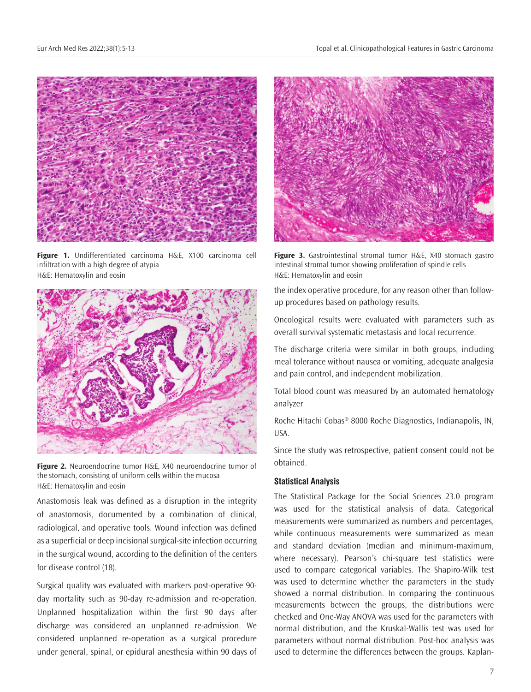

**Figure 1.** Undifferentiated carcinoma H&E, X100 carcinoma cell infiltration with a high degree of atypia H&E: Hematoxylin and eosin



**Figure 2.** Neuroendocrine tumor H&E, X40 neuroendocrine tumor of the stomach, consisting of uniform cells within the mucosa H&E: Hematoxylin and eosin

Anastomosis leak was defined as a disruption in the integrity of anastomosis, documented by a combination of clinical, radiological, and operative tools. Wound infection was defined as a superficial or deep incisional surgical-site infection occurring in the surgical wound, according to the definition of the centers for disease control (18).

Surgical quality was evaluated with markers post-operative 90 day mortality such as 90-day re-admission and re-operation. Unplanned hospitalization within the first 90 days after discharge was considered an unplanned re-admission. We considered unplanned re-operation as a surgical procedure under general, spinal, or epidural anesthesia within 90 days of



**Figure 3.** Gastrointestinal stromal tumor H&E, X40 stomach gastro intestinal stromal tumor showing proliferation of spindle cells H&E: Hematoxylin and eosin

the index operative procedure, for any reason other than followup procedures based on pathology results.

Oncological results were evaluated with parameters such as overall survival systematic metastasis and local recurrence.

The discharge criteria were similar in both groups, including meal tolerance without nausea or vomiting, adequate analgesia and pain control, and independent mobilization.

Total blood count was measured by an automated hematology analyzer

Roche Hitachi Cobas® 8000 Roche Diagnostics, Indianapolis, IN, USA.

Since the study was retrospective, patient consent could not be obtained.

#### **Statistical Analysis**

The Statistical Package for the Social Sciences 23.0 program was used for the statistical analysis of data. Categorical measurements were summarized as numbers and percentages, while continuous measurements were summarized as mean and standard deviation (median and minimum-maximum, where necessary). Pearson's chi-square test statistics were used to compare categorical variables. The Shapiro-Wilk test was used to determine whether the parameters in the study showed a normal distribution. In comparing the continuous measurements between the groups, the distributions were checked and One-Way ANOVA was used for the parameters with normal distribution, and the Kruskal-Wallis test was used for parameters without normal distribution. Post-hoc analysis was used to determine the differences between the groups. Kaplan-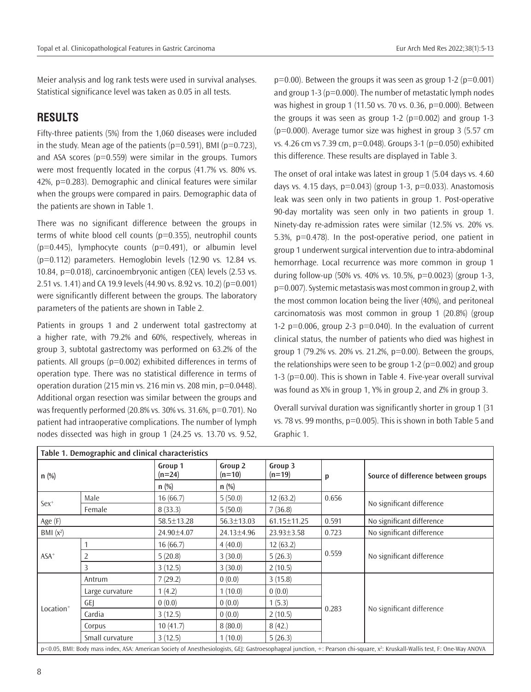Meier analysis and log rank tests were used in survival analyses. Statistical significance level was taken as 0.05 in all tests.

# **RESULTS**

Fifty-three patients (5%) from the 1,060 diseases were included in the study. Mean age of the patients ( $p=0.591$ ), BMI ( $p=0.723$ ), and ASA scores ( $p=0.559$ ) were similar in the groups. Tumors were most frequently located in the corpus (41.7% vs. 80% vs. 42%, p=0.283). Demographic and clinical features were similar when the groups were compared in pairs. Demographic data of the patients are shown in Table 1.

There was no significant difference between the groups in terms of white blood cell counts ( $p=0.355$ ), neutrophil counts  $(p=0.445)$ , lymphocyte counts  $(p=0.491)$ , or albumin level (p=0.112) parameters. Hemoglobin levels (12.90 vs. 12.84 vs. 10.84, p=0.018), carcinoembryonic antigen (CEA) levels (2.53 vs. 2.51 vs. 1.41) and CA 19.9 levels (44.90 vs. 8.92 vs. 10.2) (p=0.001) were significantly different between the groups. The laboratory parameters of the patients are shown in Table 2.

Patients in groups 1 and 2 underwent total gastrectomy at a higher rate, with 79.2% and 60%, respectively, whereas in group 3, subtotal gastrectomy was performed on 63.2% of the patients. All groups (p=0.002) exhibited differences in terms of operation type. There was no statistical difference in terms of operation duration (215 min vs. 216 min vs. 208 min,  $p=0.0448$ ). Additional organ resection was similar between the groups and was frequently performed (20.8% vs. 30% vs. 31.6%, p=0.701). No patient had intraoperative complications. The number of lymph nodes dissected was high in group 1 (24.25 vs. 13.70 vs. 9.52,

 $p=0.00$ ). Between the groups it was seen as group 1-2 ( $p=0.001$ ) and group 1-3 (p=0.000). The number of metastatic lymph nodes was highest in group 1 (11.50 vs. 70 vs. 0.36, p=0.000). Between the groups it was seen as group  $1-2$  ( $p=0.002$ ) and group  $1-3$  $(p=0.000)$ . Average tumor size was highest in group 3 (5.57 cm) vs. 4.26 cm vs 7.39 cm, p=0.048). Groups 3-1 (p=0.050) exhibited this difference. These results are displayed in Table 3.

The onset of oral intake was latest in group 1 (5.04 days vs. 4.60 days vs. 4.15 days,  $p=0.043$  (group 1-3,  $p=0.033$ ). Anastomosis leak was seen only in two patients in group 1. Post-operative 90-day mortality was seen only in two patients in group 1. Ninety-day re-admission rates were similar (12.5% vs. 20% vs. 5.3%, p=0.478). In the post-operative period, one patient in group 1 underwent surgical intervention due to intra-abdominal hemorrhage. Local recurrence was more common in group 1 during follow-up (50% vs. 40% vs. 10.5%, p=0.0023) (group 1-3, p=0.007). Systemic metastasis was most common in group 2, with the most common location being the liver (40%), and peritoneal carcinomatosis was most common in group 1 (20.8%) (group 1-2  $p=0.006$ , group 2-3  $p=0.040$ ). In the evaluation of current clinical status, the number of patients who died was highest in group 1 (79.2% vs. 20% vs. 21.2%, p=0.00). Between the groups, the relationships were seen to be group  $1-2$  ( $p=0.002$ ) and group 1-3 (p=0.00). This is shown in Table 4. Five-year overall survival was found as X% in group 1, Y% in group 2, and Z% in group 3.

Overall survival duration was significantly shorter in group 1 (31 vs. 78 vs. 99 months, p=0.005). This is shown in both Table 5 and Graphic 1.

|                       | Table 1. Demographic and clinical characteristics |                     |                     |                     |       |                                                                                                                                                                                          |  |
|-----------------------|---------------------------------------------------|---------------------|---------------------|---------------------|-------|------------------------------------------------------------------------------------------------------------------------------------------------------------------------------------------|--|
| $n$ (%)               |                                                   | Group 1<br>$(n=24)$ | Group 2<br>$(n=10)$ | Group 3<br>$(n=19)$ | p     | Source of difference between groups                                                                                                                                                      |  |
|                       |                                                   | $n$ (%)             | $n$ (%)             |                     |       |                                                                                                                                                                                          |  |
|                       | Male                                              | 5(50.0)<br>16(66.7) |                     | 12(63.2)            | 0.656 | No significant difference                                                                                                                                                                |  |
| $Sex+$                | Female                                            | 8(33.3)             | 5(50.0)             | 7(36.8)             |       |                                                                                                                                                                                          |  |
| Age (F)               |                                                   | 58.5±13.28          | 56.3±13.03          | 61.15±11.25         | 0.591 | No significant difference                                                                                                                                                                |  |
| BMI $(x^2)$           |                                                   | 24.90±4.07          | 24.13±4.96          | $23.93 \pm 3.58$    | 0.723 | No significant difference                                                                                                                                                                |  |
|                       |                                                   | 16(66.7)            | 4(40.0)             | 12(63.2)            |       |                                                                                                                                                                                          |  |
| $ASA+$                |                                                   | 5(20.8)             | 3(30.0)             | 5(26.3)             | 0.559 | No significant difference                                                                                                                                                                |  |
|                       | 3                                                 | 3(12.5)             | 3(30.0)             | 2(10.5)             |       |                                                                                                                                                                                          |  |
|                       | Antrum                                            | 7(29.2)             | 0(0.0)              | 3(15.8)             |       |                                                                                                                                                                                          |  |
|                       | Large curvature                                   | 1(4.2)              | 1(10.0)             | 0(0.0)              |       |                                                                                                                                                                                          |  |
|                       | GEI                                               | (0.0)               | 0(0.0)              | 1(5.3)              |       |                                                                                                                                                                                          |  |
| Location <sup>+</sup> | Cardia                                            | 3(12.5)             | 0(0.0)              | 2(10.5)             | 0.283 | No significant difference                                                                                                                                                                |  |
|                       | Corpus                                            | 10(41.7)            | 8(80.0)             | 8(42.)              |       |                                                                                                                                                                                          |  |
|                       | Small curvature                                   | 3(12.5)             | 1(10.0)             | 5(26.3)             |       |                                                                                                                                                                                          |  |
|                       |                                                   |                     |                     |                     |       | p<0.05, BMI: Body mass index, ASA: American Society of Anesthesiologists, GEJ: Gastroesophageal junction, +: Pearson chi-square, x <sup>2</sup> : Kruskall-Wallis test, F: One-Way ANOVA |  |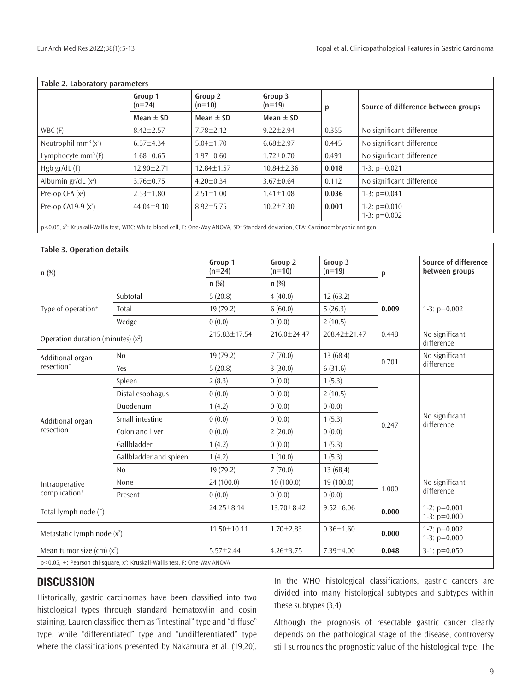| Table 2. Laboratory parameters                                                                                  |                     |                     |                     |       |                                     |  |
|-----------------------------------------------------------------------------------------------------------------|---------------------|---------------------|---------------------|-------|-------------------------------------|--|
|                                                                                                                 | Group 1<br>$(n=24)$ | Group 2<br>$(n=10)$ | Group 3<br>$(n=19)$ | р     | Source of difference between groups |  |
|                                                                                                                 | Mean $\pm$ SD       | Mean $\pm$ SD       | Mean $\pm$ SD       |       |                                     |  |
| $WBC$ (F)                                                                                                       | $8.42 \pm 2.57$     | $7.78 \pm 2.12$     | $9.22 \pm 2.94$     | 0.355 | No significant difference           |  |
| Neutrophil $mm^3(x^2)$                                                                                          | $6.57 \pm 4.34$     | $5.04 \pm 1.70$     | $6.68 \pm 2.97$     | 0.445 | No significant difference           |  |
| Lymphocyte $mm^3(F)$                                                                                            | $1.68 \pm 0.65$     | $1.97 \pm 0.60$     | $1.72 \pm 0.70$     | 0.491 | No significant difference           |  |
| Hgb $gr/dL$ (F)                                                                                                 | $12.90 + 2.71$      | $12.84 \pm 1.57$    | $10.84 \pm 2.36$    | 0.018 | 1-3: $p=0.021$                      |  |
| Albumin $gr/dL(x^2)$                                                                                            | $3.76 \pm 0.75$     | $4.20 + 0.34$       | $3.67 + 0.64$       | 0.112 | No significant difference           |  |
| Pre-op CEA $(x^2)$                                                                                              | $2.53 \pm 1.80$     | $2.51 \pm 1.00$     | $1.41 \pm 1.08$     | 0.036 | 1-3: $p=0.041$                      |  |
| Pre-op CA19-9 $(x^2)$                                                                                           | $44.04 \pm 9.10$    | $8.92 \pm 5.75$     | $10.2 \pm 7.30$     | 0.001 | 1-2: $p=0.010$<br>1-3: $p=0.002$    |  |
| $\alpha$ or $\beta$ is the R independent of the $\alpha$ and the contract of $\beta$ is the contract of $\beta$ |                     |                     |                     |       |                                     |  |

p<0.05, x2 : Kruskall-Wallis test, WBC: White blood cell, F: One-Way ANOVA, SD: Standard deviation, CEA: Carcinoembryonic antigen

| <b>Table 3. Operation details</b>    |                                                                                  |                                                                                                      |                     |                     |       |                                        |
|--------------------------------------|----------------------------------------------------------------------------------|------------------------------------------------------------------------------------------------------|---------------------|---------------------|-------|----------------------------------------|
| $n$ (%)                              |                                                                                  | Group 1<br>$(n=24)$                                                                                  | Group 2<br>$(n=10)$ | Group 3<br>$(n=19)$ | p     | Source of difference<br>between groups |
|                                      |                                                                                  | $n$ (%)                                                                                              | $n$ (%)             |                     |       |                                        |
|                                      | Subtotal                                                                         | 5(20.8)                                                                                              | 4(40.0)             | 12(63.2)            |       |                                        |
| Type of operation <sup>+</sup>       | Total                                                                            | 19 (79.2)                                                                                            | 6(60.0)             | 5(26.3)             | 0.009 | 1-3: $p=0.002$                         |
|                                      | Wedge                                                                            | 0(0.0)                                                                                               | 0(0.0)              | 2(10.5)             |       |                                        |
| Operation duration (minutes) $(x^2)$ |                                                                                  | 215.83±17.54                                                                                         | 216.0±24.47         | 208.42±21.47        | 0.448 | No significant<br>difference           |
| Additional organ                     | N <sub>0</sub>                                                                   | 19 (79.2)                                                                                            | 7(70.0)             | 13(68.4)            | 0.701 | No significant                         |
| resection <sup>+</sup>               | Yes                                                                              | 5(20.8)                                                                                              | 3(30.0)             | 6(31.6)             |       | difference                             |
|                                      | Spleen                                                                           | 2(8.3)                                                                                               | 0(0.0)              | 1(5.3)              | 0.247 | No significant<br>difference           |
|                                      | Distal esophagus                                                                 | 0(0.0)                                                                                               | 0(0.0)              | 2(10.5)             |       |                                        |
|                                      | Duodenum                                                                         | 1(4.2)                                                                                               | 0(0.0)              | 0(0.0)              |       |                                        |
| Additional organ                     | Small intestine                                                                  | 0(0.0)                                                                                               | 0(0.0)              | 1(5.3)              |       |                                        |
| resection <sup>+</sup>               | Colon and liver                                                                  | 0(0.0)                                                                                               | 2(20.0)             | 0(0.0)              |       |                                        |
|                                      | Gallbladder                                                                      | 1(4.2)                                                                                               | 0(0.0)              | 1(5.3)              |       |                                        |
|                                      | Gallbladder and spleen                                                           | 1(4.2)                                                                                               | 1(10.0)             | 1(5.3)              |       |                                        |
|                                      | No                                                                               | 19 (79.2)                                                                                            | 7(70.0)             | 13(68,4)            |       |                                        |
| Intraoperative                       | None                                                                             | 24 (100.0)                                                                                           | 10(100.0)           | 19 (100.0)          | 1.000 | No significant<br>difference           |
| complication <sup>+</sup>            | Present                                                                          | 0(0.0)                                                                                               | 0(0.0)              | 0(0.0)              |       |                                        |
| Total lymph node (F)                 |                                                                                  | $24.25 \pm 8.14$                                                                                     | $13.70 \pm 8.42$    | $9.52 \pm 6.06$     | 0.000 | 1-2: $p=0.001$<br>1-3: $p=0.000$       |
| Metastatic lymph node $(x^2)$        |                                                                                  | 1-2: $p=0.002$<br>$11.50 \pm 10.11$<br>$1.70 \pm 2.83$<br>$0.36 \pm 1.60$<br>0.000<br>1-3: $p=0.000$ |                     |                     |       |                                        |
| Mean tumor size (cm) $(x^2)$         |                                                                                  | $5.57 \pm 2.44$                                                                                      | $4.26 \pm 3.75$     | $7.39 \pm 4.00$     | 0.048 | $3-1$ : $p=0.050$                      |
|                                      | $p$ <0.05, +: Pearson chi-square, $x^2$ : Kruskall-Wallis test, F: One-Way ANOVA |                                                                                                      |                     |                     |       |                                        |

# **DISCUSSION**

Historically, gastric carcinomas have been classified into two histological types through standard hematoxylin and eosin staining. Lauren classified them as "intestinal" type and "diffuse" type, while "differentiated" type and "undifferentiated" type where the classifications presented by Nakamura et al. (19,20). In the WHO histological classifications, gastric cancers are divided into many histological subtypes and subtypes within these subtypes (3,4).

Although the prognosis of resectable gastric cancer clearly depends on the pathological stage of the disease, controversy still surrounds the prognostic value of the histological type. The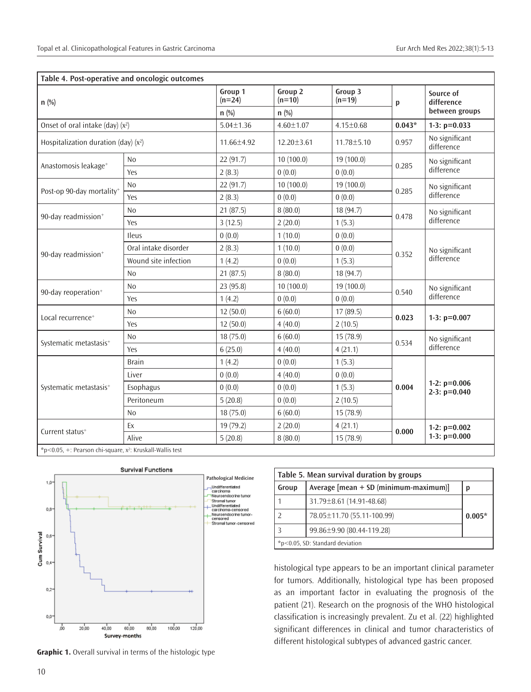| n(%)                                   |                      | Group 1<br>$(n=24)$ | Group <sub>2</sub><br>$(n=10)$ | Group 3<br>$(n=19)$ | p        | Source of<br>difference          |
|----------------------------------------|----------------------|---------------------|--------------------------------|---------------------|----------|----------------------------------|
|                                        |                      | $n$ (%)             | $n$ (%)                        |                     |          | between groups                   |
| Onset of oral intake (day) $(x^2)$     |                      | $5.04 \pm 1.36$     | $4.60 \pm 1.07$                | $4.15 \pm 0.68$     | $0.043*$ | 1-3: $p=0.033$                   |
| Hospitalization duration (day) $(x^2)$ |                      | 11.66±4.92          | $12.20 \pm 3.61$               | 11.78±5.10          | 0.957    | No significant<br>difference     |
|                                        | N <sub>0</sub>       | 22 (91.7)           | 10(100.0)                      | 19(100.0)           |          | No significant<br>difference     |
| Anastomosis leakage <sup>+</sup>       | Yes                  | 2(8.3)              | 0(0.0)                         | 0(0.0)              | 0.285    |                                  |
| Post-op 90-day mortality <sup>+</sup>  | <b>No</b>            | 22 (91.7)           | 10(100.0)                      | 19(100.0)           | 0.285    | No significant<br>difference     |
|                                        | Yes                  | 2(8.3)              | 0(0.0)                         | 0(0.0)              |          |                                  |
| 90-day readmission <sup>+</sup>        | N <sub>0</sub>       | 21(87.5)            | 8(80.0)                        | 18 (94.7)           |          | No significant<br>difference     |
|                                        | Yes                  | 3(12.5)             | 2(20.0)                        | 1(5.3)              | 0.478    |                                  |
|                                        | Ileus                | 0(0.0)              | 1(10.0)                        | 0(0.0)              |          | No significant<br>difference     |
| 90-day readmission <sup>+</sup>        | Oral intake disorder | 2(8.3)              | 1(10.0)                        | 0(0.0)              | 0.352    |                                  |
|                                        | Wound site infection | 1(4.2)              | 0(0.0)                         | 1(5.3)              |          |                                  |
|                                        | N <sub>0</sub>       | 21(87.5)            | 8(80.0)                        | 18 (94.7)           |          |                                  |
| 90-day reoperation <sup>+</sup>        | No                   | 23 (95.8)           | 10(100.0)                      | 19(100.0)           | 0.540    | No significant<br>difference     |
|                                        | Yes                  | 1(4.2)              | 0(0.0)                         | 0(0.0)              |          |                                  |
| Local recurrence <sup>+</sup>          | <b>No</b>            | 12(50.0)            | 6(60.0)                        | 17(89.5)            | 0.023    | 1-3: $p=0.007$                   |
|                                        | Yes                  | 12(50.0)            | 4(40.0)                        | 2(10.5)             |          |                                  |
| Systematic metastasis <sup>+</sup>     | <b>No</b>            | 18 (75.0)           | 6(60.0)                        | 15(78.9)            | 0.534    | No significant<br>difference     |
|                                        | Yes                  | 6(25.0)             | 4(40.0)                        | 4(21.1)             |          |                                  |
|                                        | <b>Brain</b>         | 1(4.2)              | 0(0.0)                         | 1(5.3)              |          | 1-2: $p=0.006$<br>$2-3: p=0.040$ |
|                                        | Liver                | 0(0.0)              | 4(40.0)                        | 0(0.0)              | 0.004    |                                  |
| Systematic metastasis <sup>+</sup>     | Esophagus            | 0(0.0)              | 0(0.0)                         | 1(5.3)              |          |                                  |
|                                        | Peritoneum           | 5(20.8)             | 0(0.0)                         | 2(10.5)             |          |                                  |
|                                        | N <sub>o</sub>       | 18 (75.0)           | 6(60.0)                        | 15(78.9)            |          |                                  |
| Current status <sup>+</sup>            | Ex                   | 19 (79.2)           | 2(20.0)                        | 4(21.1)             | 0.000    | 1-2: $p=0.002$<br>1-3: $p=0.000$ |
|                                        | Alive                | 5(20.8)             | 8(80.0)                        | 15(78.9)            |          |                                  |

\*p<0.05, +: Pearson chi-square, x<sup>2</sup>: Kruskall-Wallis test



**Table 5. Mean survival duration by groups Group Average [mean + SD (minimum-maximum)] p** 1 31.79±8.61 (14.91-48.68) 2 78.05±11.70 (55.11-100.99) **0.005\*** 3 99.86±9.90 (80.44-119.28) \*p<0.05, SD: Standard deviation

histological type appears to be an important clinical parameter for tumors. Additionally, histological type has been proposed as an important factor in evaluating the prognosis of the patient (21). Research on the prognosis of the WHO histological classification is increasingly prevalent. Zu et al. (22) highlighted significant differences in clinical and tumor characteristics of different histological subtypes of advanced gastric cancer.

**Graphic 1.** Overall survival in terms of the histologic type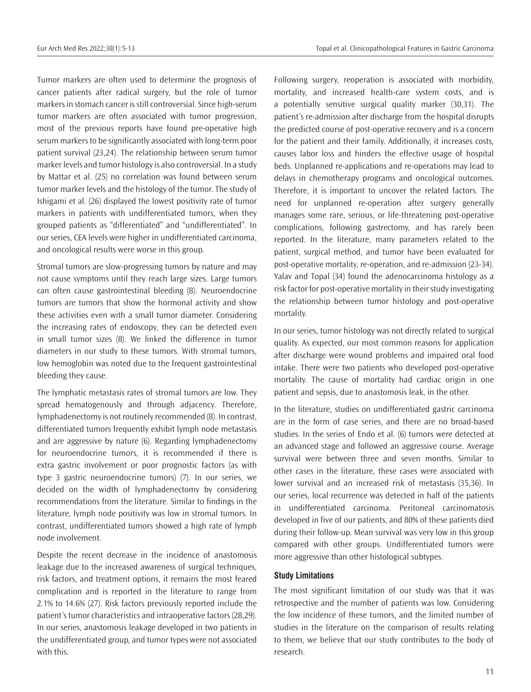Tumor markers are often used to determine the prognosis of cancer patients after radical surgery, but the role of tumor markers in stomach cancer is still controversial. Since high-serum tumor markers are often associated with tumor progression, most of the previous reports have found pre-operative high serum markers to be significantly associated with long-term poor patient survival (23,24). The relationship between serum tumor marker levels and tumor histology is also controversial. In a study by Mattar et al. (25) no correlation was found between serum tumor marker levels and the histology of the tumor. The study of Ishigami et al. (26) displayed the lowest positivity rate of tumor markers in patients with undifferentiated tumors, when they grouped patients as "differentiated" and "undifferentiated". In our series, CEA levels were higher in undifferentiated carcinoma, and oncological results were worse in this group.

Stromal tumors are slow-progressing tumors by nature and may not cause symptoms until they reach large sizes. Large tumors can often cause gastrointestinal bleeding (8). Neuroendocrine tumors are tumors that show the hormonal activity and show these activities even with a small tumor diameter. Considering the increasing rates of endoscopy, they can be detected even in small tumor sizes (8). We linked the difference in tumor diameters in our study to these tumors. With stromal tumors, low hemoglobin was noted due to the frequent gastrointestinal bleeding they cause.

The lymphatic metastasis rates of stromal tumors are low. They spread hematogenously and through adjacency. Therefore, lymphadenectomy is not routinely recommended (8). In contrast, differentiated tumors frequently exhibit lymph node metastasis and are aggressive by nature (6). Regarding lymphadenectomy for neuroendocrine tumors, it is recommended if there is extra gastric involvement or poor prognostic factors (as with type 3 gastric neuroendocrine tumors) (7). In our series, we decided on the width of lymphadenectomy by considering recommendations from the literature. Similar to findings in the literature, lymph node positivity was low in stromal tumors. In contrast, undifferentiated tumors showed a high rate of lymph node involvement.

Despite the recent decrease in the incidence of anastomosis leakage due to the increased awareness of surgical techniques, risk factors, and treatment options, it remains the most feared complication and is reported in the literature to range from 2.1% to 14.6% (27). Risk factors previously reported include the patient's tumor characteristics and intraoperative factors (28,29). In our series, anastomosis leakage developed in two patients in the undifferentiated group, and tumor types were not associated with this.

Following surgery, reoperation is associated with morbidity, mortality, and increased health-care system costs, and is a potentially sensitive surgical quality marker (30,31). The patient's re-admission after discharge from the hospital disrupts the predicted course of post-operative recovery and is a concern for the patient and their family. Additionally, it increases costs, causes labor loss and hinders the effective usage of hospital beds. Unplanned re-applications and re-operations may lead to delays in chemotherapy programs and oncological outcomes. Therefore, it is important to uncover the related factors. The need for unplanned re-operation after surgery generally manages some rare, serious, or life-threatening post-operative complications, following gastrectomy, and has rarely been reported. In the literature, many parameters related to the patient, surgical method, and tumor have been evaluated for post-operative mortality, re-operation, and re-admission (23-34). Yalav and Topal (34) found the adenocarcinoma histology as a risk factor for post-operative mortality in their study investigating the relationship between tumor histology and post-operative mortality.

In our series, tumor histology was not directly related to surgical quality. As expected, our most common reasons for application after discharge were wound problems and impaired oral food intake. There were two patients who developed post-operative mortality. The cause of mortality had cardiac origin in one patient and sepsis, due to anastomosis leak, in the other.

In the literature, studies on undifferentiated gastric carcinoma are in the form of case series, and there are no broad-based studies. In the series of Endo et al. (6) tumors were detected at an advanced stage and followed an aggressive course. Average survival were between three and seven months. Similar to other cases in the literature, these cases were associated with lower survival and an increased risk of metastasis (35,36). In our series, local recurrence was detected in half of the patients in undifferentiated carcinoma. Peritoneal carcinomatosis developed in five of our patients, and 80% of these patients died during their follow-up. Mean survival was very low in this group compared with other groups. Undifferentiated tumors were more aggressive than other histological subtypes.

#### **Study Limitations**

The most significant limitation of our study was that it was retrospective and the number of patients was low. Considering the low incidence of these tumors, and the limited number of studies in the literature on the comparison of results relating to them, we believe that our study contributes to the body of research.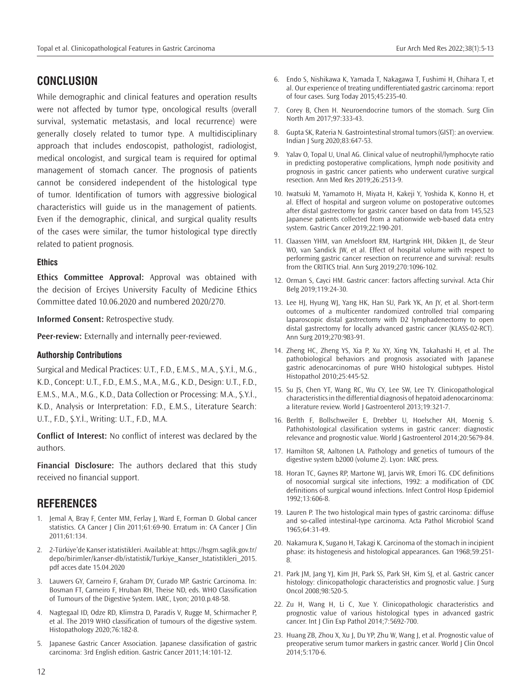# **CONCLUSION**

While demographic and clinical features and operation results were not affected by tumor type, oncological results (overall survival, systematic metastasis, and local recurrence) were generally closely related to tumor type. A multidisciplinary approach that includes endoscopist, pathologist, radiologist, medical oncologist, and surgical team is required for optimal management of stomach cancer. The prognosis of patients cannot be considered independent of the histological type of tumor. Identification of tumors with aggressive biological characteristics will guide us in the management of patients. Even if the demographic, clinical, and surgical quality results of the cases were similar, the tumor histological type directly related to patient prognosis.

#### **Ethics**

**Ethics Committee Approval:** Approval was obtained with the decision of Erciyes University Faculty of Medicine Ethics Committee dated 10.06.2020 and numbered 2020/270.

**Informed Consent:** Retrospective study.

**Peer-review:** Externally and internally peer-reviewed.

#### **Authorship Contributions**

Surgical and Medical Practices: U.T., F.D., E.M.S., M.A., Ş.Y.İ., M.G., K.D., Concept: U.T., F.D., E.M.S., M.A., M.G., K.D., Design: U.T., F.D., E.M.S., M.A., M.G., K.D., Data Collection or Processing: M.A., Ş.Y.İ., K.D., Analysis or Interpretation: F.D., E.M.S., Literature Search: U.T., F.D., Ş.Y.İ., Writing: U.T., F.D., M.A.

**Conflict of Interest:** No conflict of interest was declared by the authors.

**Financial Disclosure:** The authors declared that this study received no financial support.

# **REFERENCES**

- 1. Jemal A, Bray F, Center MM, Ferlay J, Ward E, Forman D. Global cancer statistics. CA Cancer J Clin 2011;61:69-90. Erratum in: CA Cancer J Clin 2011;61:134.
- 2. 2-Türkiye'de Kanser istatistikleri. Available at: https://hsgm.saglik.gov.tr/ depo/birimler/kanser-db/istatistik/Turkiye\_Kanser\_Istatistikleri\_2015. pdf acces date 15.04.2020
- 3. Lauwers GY, Carneiro F, Graham DY, Curado MP. Gastric Carcinoma. In: Bosman FT, Carneiro F, Hruban RH, Theise ND, eds. WHO Classification of Tumours of the Digestive System. IARC, Lyon; 2010.p.48-58.
- 4. Nagtegaal ID, Odze RD, Klimstra D, Paradis V, Rugge M, Schirmacher P, et al. The 2019 WHO classification of tumours of the digestive system. Histopathology 2020;76:182-8.
- 5. Japanese Gastric Cancer Association. Japanese classification of gastric carcinoma: 3rd English edition. Gastric Cancer 2011;14:101-12.
- 6. Endo S, Nishikawa K, Yamada T, Nakagawa T, Fushimi H, Chihara T, et al. Our experience of treating undifferentiated gastric carcinoma: report of four cases. Surg Today 2015;45:235-40.
- 7. Corey B, Chen H. Neuroendocrine tumors of the stomach. Surg Clin North Am 2017;97:333-43.
- 8. Gupta SK, Rateria N. Gastrointestinal stromal tumors (GIST): an overview. Indian J Surg 2020;83:647-53.
- 9. Yalav O, Topal U, Unal AG. Clinical value of neutrophil/lymphocyte ratio in predicting postoperative complications, lymph node positivity and prognosis in gastric cancer patients who underwent curative surgical resection. Ann Med Res 2019;26:2513-9.
- 10. Iwatsuki M, Yamamoto H, Miyata H, Kakeji Y, Yoshida K, Konno H, et al. Effect of hospital and surgeon volume on postoperative outcomes after distal gastrectomy for gastric cancer based on data from 145,523 Japanese patients collected from a nationwide web-based data entry system. Gastric Cancer 2019;22:190-201.
- 11. Claassen YHM, van Amelsfoort RM, Hartgrink HH, Dikken JL, de Steur WO, van Sandick JW, et al. Effect of hospital volume with respect to performing gastric cancer resection on recurrence and survival: results from the CRITICS trial. Ann Surg 2019;270:1096-102.
- 12. Orman S, Cayci HM. Gastric cancer: factors affecting survival. Acta Chir Belg 2019;119:24-30.
- 13. Lee HJ, Hyung WJ, Yang HK, Han SU, Park YK, An JY, et al. Short-term outcomes of a multicenter randomized controlled trial comparing laparoscopic distal gastrectomy with D2 lymphadenectomy to open distal gastrectomy for locally advanced gastric cancer (KLASS-02-RCT). Ann Surg 2019;270:983-91.
- 14. Zheng HC, Zheng YS, Xia P, Xu XY, Xing YN, Takahashi H, et al. The pathobiological behaviors and prognosis associated with Japanese gastric adenocarcinomas of pure WHO histological subtypes. Histol Histopathol 2010;25:445-52.
- 15. Su JS, Chen YT, Wang RC, Wu CY, Lee SW, Lee TY. Clinicopathological characteristics in the differential diagnosis of hepatoid adenocarcinoma: a literature review. World J Gastroenterol 2013;19:321-7.
- 16. Berlth F, Bollschweiler E, Drebber U, Hoelscher AH, Moenig S. Pathohistological classification systems in gastric cancer: diagnostic relevance and prognostic value. World J Gastroenterol 2014;20:5679-84.
- 17. Hamilton SR, Aaltonen LA. Pathology and genetics of tumours of the digestive system b2000 (volume 2). Lyon: IARC press.
- 18. Horan TC, Gaynes RP, Martone WJ, Jarvis WR, Emori TG. CDC definitions of nosocomial surgical site infections, 1992: a modification of CDC definitions of surgical wound infections. Infect Control Hosp Epidemiol 1992;13:606-8.
- 19. Lauren P. The two histological main types of gastric carcinoma: diffuse and so-called intestinal-type carcinoma. Acta Pathol Microbiol Scand 1965;64:31-49.
- 20. Nakamura K, Sugano H, Takagi K. Carcinoma of the stomach in incipient phase: its histogenesis and histological appearances. Gan 1968;59:251- 8.
- 21. Park JM, Jang YJ, Kim JH, Park SS, Park SH, Kim SJ, et al. Gastric cancer histology: clinicopathologic characteristics and prognostic value. J Surg Oncol 2008;98:520-5.
- 22. Zu H, Wang H, Li C, Xue Y. Clinicopathologic characteristics and prognostic value of various histological types in advanced gastric cancer. Int J Clin Exp Pathol 2014;7:5692-700.
- 23. Huang ZB, Zhou X, Xu J, Du YP, Zhu W, Wang J, et al. Prognostic value of preoperative serum tumor markers in gastric cancer. World J Clin Oncol 2014;5:170-6.